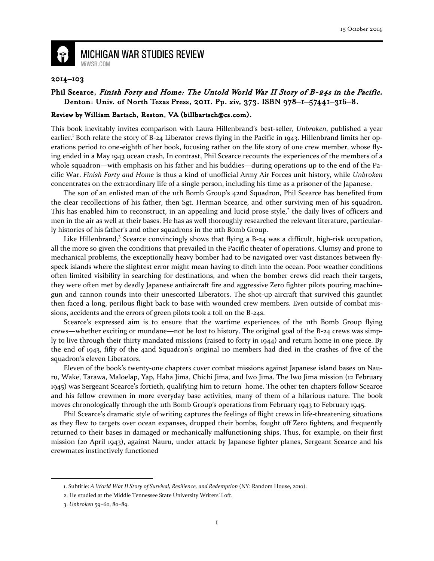

## **MICHIGAN WAR STUDIES REVIEW** MiWSR.COM

## 2014–103

## Phil Scearce, Finish Forty and Home: The Untold World War II Story of B-24s in the Pacific. Denton: Univ. of North Texas Press, 2011. Pp. xiv, 373. ISBN 978-1-57441-316-8.

## Review by William Bartsch, Reston, VA (billbartsch@cs.com).

This book inevitably invites comparison with Laura Hillenbrand's best-seller, Unbroken, published a year earlier.<sup>1</sup> Both relate the story of B-24 Liberator crews flying in the Pacific in 1943. Hillenbrand limits her operations period to one-eighth of her book, focusing rather on the life story of one crew member, whose flying ended in a May 1943 ocean crash, In contrast, Phil Scearce recounts the experiences of the members of a whole squadron—with emphasis on his father and his buddies—during operations up to the end of the Pacific War. Finish Forty and Home is thus a kind of unofficial Army Air Forces unit history, while Unbroken concentrates on the extraordinary life of a single person, including his time as a prisoner of the Japanese.

The son of an enlisted man of the 11th Bomb Group's 42nd Squadron, Phil Scearce has benefited from the clear recollections of his father, then Sgt. Herman Scearce, and other surviving men of his squadron. This has enabled him to reconstruct, in an appealing and lucid prose style,<sup>2</sup> the daily lives of officers and men in the air as well at their bases. He has as well thoroughly researched the relevant literature, particularly histories of his father's and other squadrons in the 11th Bomb Group.

Like Hillenbrand,<sup>3</sup> Scearce convincingly shows that flying a B-24 was a difficult, high-risk occupation, all the more so given the conditions that prevailed in the Pacific theater of operations. Clumsy and prone to mechanical problems, the exceptionally heavy bomber had to be navigated over vast distances between flyspeck islands where the slightest error might mean having to ditch into the ocean. Poor weather conditions often limited visibility in searching for destinations, and when the bomber crews did reach their targets, they were often met by deadly Japanese antiaircraft fire and aggressive Zero fighter pilots pouring machinegun and cannon rounds into their unescorted Liberators. The shot-up aircraft that survived this gauntlet then faced a long, perilous flight back to base with wounded crew members. Even outside of combat missions, accidents and the errors of green pilots took a toll on the B-24s.

Scearce's expressed aim is to ensure that the wartime experiences of the 11th Bomb Group flying crews—whether exciting or mundane—not be lost to history. The original goal of the B-24 crews was simply to live through their thirty mandated missions (raised to forty in 1944) and return home in one piece. By the end of 1943, fifty of the 42nd Squadron's original 110 members had died in the crashes of five of the squadron's eleven Liberators.

Eleven of the book's twenty-one chapters cover combat missions against Japanese island bases on Nauru, Wake, Tarawa, Maloelap, Yap, Haha Jima, Chichi Jima, and Iwo Jima. The Iwo Jima mission (12 February 1945) was Sergeant Scearce's fortieth, qualifying him to return home. The other ten chapters follow Scearce and his fellow crewmen in more everyday base activities, many of them of a hilarious nature. The book moves chronologically through the 11th Bomb Group's operations from February 1943 to February 1945.

Phil Scearce's dramatic style of writing captures the feelings of flight crews in life-threatening situations as they flew to targets over ocean expanses, dropped their bombs, fought off Zero fighters, and frequently returned to their bases in damaged or mechanically malfunctioning ships. Thus, for example, on their first mission (20 April 1943), against Nauru, under attack by Japanese fighter planes, Sergeant Scearce and his crewmates instinctively functioned

 $\overline{\phantom{0}}$ 

<sup>1.</sup> Subtitle: A World War II Story of Survival, Resilience, and Redemption (NY: Random House, 2010).

<sup>2.</sup> He studied at the Middle Tennessee State University Writers' Loft.

<sup>3.</sup> Unbroken 59–60, 80–89.